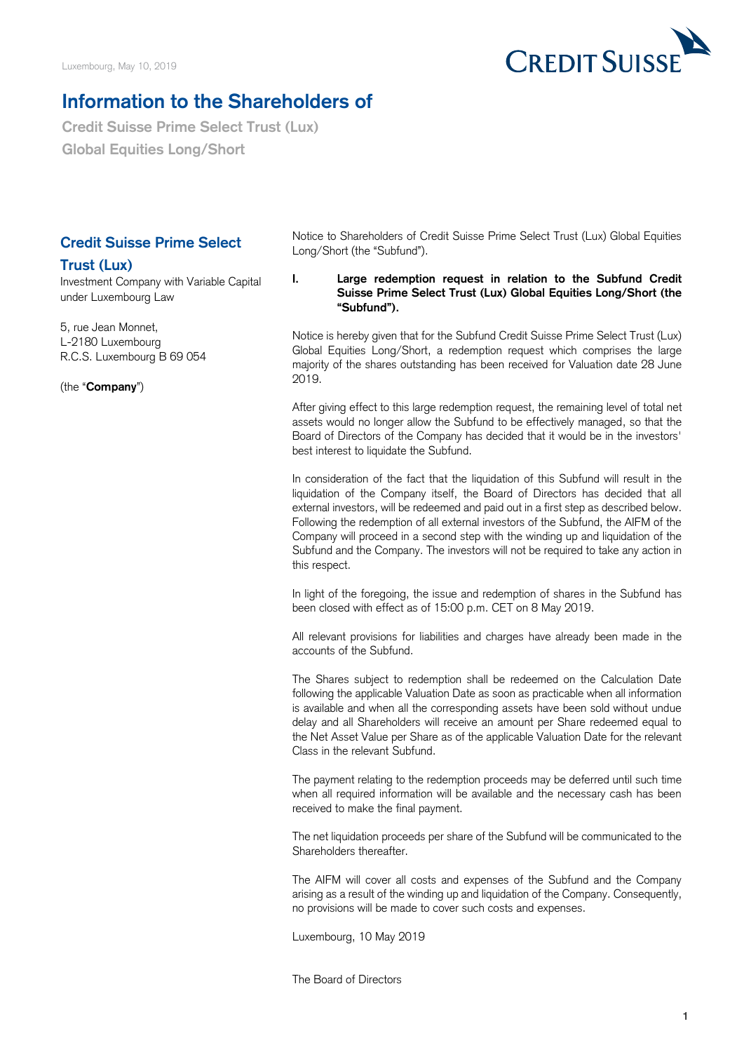

## **Information to the Shareholders of**

**Credit Suisse Prime Select Trust (Lux) Global Equities Long/Short**

## **Credit Suisse Prime Select**

## **Trust (Lux)**

Investment Company with Variable Capital under Luxembourg Law

5, rue Jean Monnet, L-2180 Luxembourg R.C.S. Luxembourg B 69 054

(the "**Company**")

Notice to Shareholders of Credit Suisse Prime Select Trust (Lux) Global Equities Long/Short (the "Subfund").

**I. Large redemption request in relation to the Subfund Credit Suisse Prime Select Trust (Lux) Global Equities Long/Short (the "Subfund").**

Notice is hereby given that for the Subfund Credit Suisse Prime Select Trust (Lux) Global Equities Long/Short, a redemption request which comprises the large majority of the shares outstanding has been received for Valuation date 28 June 2019.

After giving effect to this large redemption request, the remaining level of total net assets would no longer allow the Subfund to be effectively managed, so that the Board of Directors of the Company has decided that it would be in the investors' best interest to liquidate the Subfund.

In consideration of the fact that the liquidation of this Subfund will result in the liquidation of the Company itself, the Board of Directors has decided that all external investors, will be redeemed and paid out in a first step as described below. Following the redemption of all external investors of the Subfund, the AIFM of the Company will proceed in a second step with the winding up and liquidation of the Subfund and the Company. The investors will not be required to take any action in this respect.

In light of the foregoing, the issue and redemption of shares in the Subfund has been closed with effect as of 15:00 p.m. CET on 8 May 2019.

All relevant provisions for liabilities and charges have already been made in the accounts of the Subfund.

The Shares subject to redemption shall be redeemed on the Calculation Date following the applicable Valuation Date as soon as practicable when all information is available and when all the corresponding assets have been sold without undue delay and all Shareholders will receive an amount per Share redeemed equal to the Net Asset Value per Share as of the applicable Valuation Date for the relevant Class in the relevant Subfund.

The payment relating to the redemption proceeds may be deferred until such time when all required information will be available and the necessary cash has been received to make the final payment.

The net liquidation proceeds per share of the Subfund will be communicated to the Shareholders thereafter.

The AIFM will cover all costs and expenses of the Subfund and the Company arising as a result of the winding up and liquidation of the Company. Consequently, no provisions will be made to cover such costs and expenses.

Luxembourg, 10 May 2019

The Board of Directors